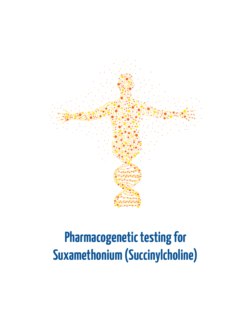

# **Pharmacogenetic testing for Suxamethonium (Succinylcholine)**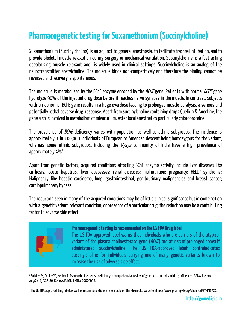# **Pharmacogenetic testing for Suxamethonium (Succinylcholine)**

Suxamethonium (Succinylcholine) is an adjunct to general anesthesia, to facilitate tracheal intubation, and to provide skeletal muscle relaxation during surgery or mechanical ventilation. Succinylcholine, is a fast-acting depolarising muscle relaxant and is widely used in clinical settings. Succinylcholine is an analog of the neurotransmitter acetylcholine. The molecule binds non-competitively and therefore the binding cannot be reversed and recovery is spontaneous.

The molecule is metabolised by the BChE enzyme encoded by the *BCHE* gene. Patients with normal *BCHE* gene hydrolyze 90% of the injected drug dose before it reaches nerve synapse in the muscle. In contrast, subjects with an abnormal BChE gene results in a huge overdose leading to prolonged muscle paralysis, a serious and potentially lethal adverse drug response. Apart from succinylcholine containing drugs Quelicin & Anectine, the gene also is involved in metabolism of mivacurium, ester local anesthetics particularly chloroprocaine.

The prevalence of *BCHE* deficiency varies with population as well as ethnic subgroups. The incidence is approximately 1 in 100,000 individuals of European or American descent being homozygous for the variant, whereas some ethnic subgroups, including the Vysya community of India have a high prevalence of approximately 4 $% ^{1}$ .

Apart from genetic factors, acquired conditions affecting BChE enzyme activity include liver diseases like cirrhosis, acute hepatitis, liver abscesses; renal diseases; malnutrition; pregnancy; HELLP syndrome; Malignancy like hepatic carcinoma, lung, gastrointestinal, genitourinary malignancies and breast cancer; cardiopulmonary bypass.

The reduction seen in many of the acquired conditions may be of little clinical significance but in combination with a genetic variant, relevant condition, or presence of a particular drug, the reduction may be a contributing factor to adverse side effect.



#### **Pharmacogenetic testing is recommended on the USFDA Drug label**

The US FDA-approved label warns that individuals who are carriers of the atypical variant of the plasma cholinesterase gene ( $BCHE$ ) are at risk of prolonged apnea if administered succinylcholine. The US FDA-approved label<sup>2</sup> contraindicates succinylcholine for individuals carrying one of many genetic variants known to increase the risk of adverse side effect.

<sup>&</sup>lt;sup>1</sup> Soliday FK, Conley YP, Henker R. Pseudocholinesterase deficiency: a comprehensive review of genetic, acquired, and drug influences. AANA J. 2010 Aug;78(4):313-20.Review.PubMedPMID: 20879632.

<sup>&</sup>lt;sup>2</sup> The US FDA approved drug label as well as recommendations are available on the PharmGKB website https://www.pharmgkb.org/chemical/PA451522